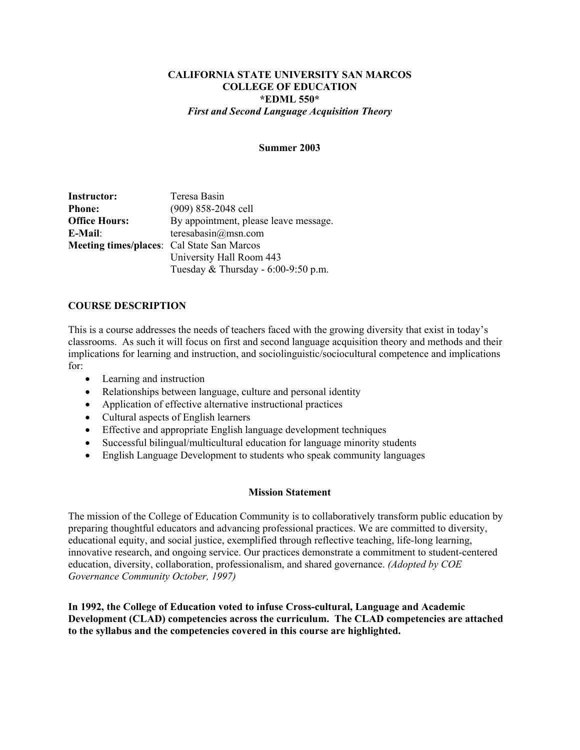#### **CALIFORNIA STATE UNIVERSITY SAN MARCOS COLLEGE OF EDUCATION \*EDML 550\***  *First and Second Language Acquisition Theory*

#### **Summer 2003**

**Instructor:** Teresa Basin **Phone:** (909) 858-2048 cell **Office Hours:** By appointment, please leave message. **E-Mail**: teresabasin@msn.com **Meeting times/places**: Cal State San Marcos University Hall Room 443 Tuesday & Thursday - 6:00-9:50 p.m.

#### **COURSE DESCRIPTION**

This is a course addresses the needs of teachers faced with the growing diversity that exist in today's classrooms. As such it will focus on first and second language acquisition theory and methods and their implications for learning and instruction, and sociolinguistic/sociocultural competence and implications for:

- Learning and instruction
- Relationships between language, culture and personal identity
- Application of effective alternative instructional practices
- Cultural aspects of English learners
- Effective and appropriate English language development techniques
- Successful bilingual/multicultural education for language minority students
- English Language Development to students who speak community languages

#### **Mission Statement**

The mission of the College of Education Community is to collaboratively transform public education by preparing thoughtful educators and advancing professional practices. We are committed to diversity, educational equity, and social justice, exemplified through reflective teaching, life-long learning, innovative research, and ongoing service. Our practices demonstrate a commitment to student-centered education, diversity, collaboration, professionalism, and shared governance. *(Adopted by COE Governance Community October, 1997)* 

**In 1992, the College of Education voted to infuse Cross-cultural, Language and Academic Development (CLAD) competencies across the curriculum. The CLAD competencies are attached to the syllabus and the competencies covered in this course are highlighted.**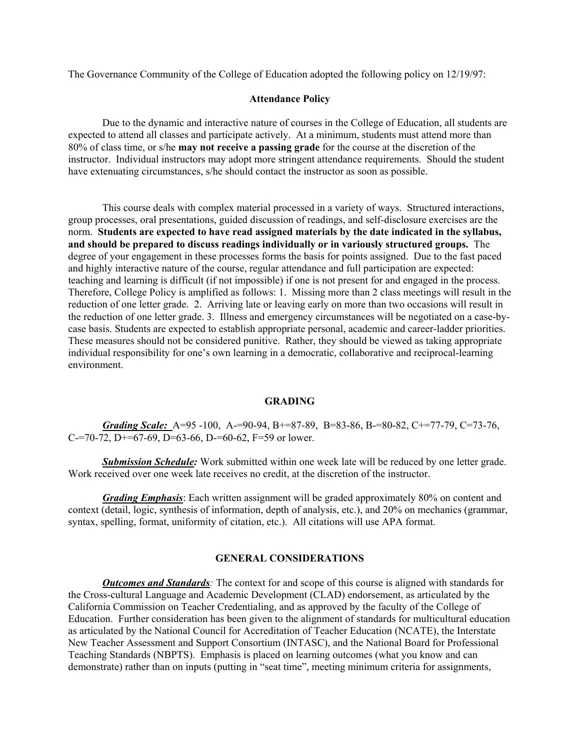The Governance Community of the College of Education adopted the following policy on 12/19/97:

#### **Attendance Policy**

 Due to the dynamic and interactive nature of courses in the College of Education, all students are expected to attend all classes and participate actively. At a minimum, students must attend more than 80% of class time, or s/he **may not receive a passing grade** for the course at the discretion of the instructor. Individual instructors may adopt more stringent attendance requirements. Should the student have extenuating circumstances, s/he should contact the instructor as soon as possible.

 This course deals with complex material processed in a variety of ways. Structured interactions, group processes, oral presentations, guided discussion of readings, and self-disclosure exercises are the norm. **Students are expected to have read assigned materials by the date indicated in the syllabus, and should be prepared to discuss readings individually or in variously structured groups.** The degree of your engagement in these processes forms the basis for points assigned. Due to the fast paced and highly interactive nature of the course, regular attendance and full participation are expected: teaching and learning is difficult (if not impossible) if one is not present for and engaged in the process. Therefore, College Policy is amplified as follows: 1. Missing more than 2 class meetings will result in the reduction of one letter grade. 2. Arriving late or leaving early on more than two occasions will result in the reduction of one letter grade. 3. Illness and emergency circumstances will be negotiated on a case-bycase basis. Students are expected to establish appropriate personal, academic and career-ladder priorities. These measures should not be considered punitive. Rather, they should be viewed as taking appropriate individual responsibility for one's own learning in a democratic, collaborative and reciprocal-learning environment.

#### **GRADING**

*Grading Scale:* A=95 -100, A-=90-94, B+=87-89, B=83-86, B-=80-82, C+=77-79, C=73-76, C-=70-72, D+=67-69, D=63-66, D-=60-62, F=59 or lower.

**Submission Schedule:** Work submitted within one week late will be reduced by one letter grade. Work received over one week late receives no credit, at the discretion of the instructor.

*Grading Emphasis*: Each written assignment will be graded approximately 80% on content and context (detail, logic, synthesis of information, depth of analysis, etc.), and 20% on mechanics (grammar, syntax, spelling, format, uniformity of citation, etc.). All citations will use APA format.

#### **GENERAL CONSIDERATIONS**

*Outcomes and Standards:* The context for and scope of this course is aligned with standards for the Cross-cultural Language and Academic Development (CLAD) endorsement, as articulated by the California Commission on Teacher Credentialing, and as approved by the faculty of the College of Education. Further consideration has been given to the alignment of standards for multicultural education as articulated by the National Council for Accreditation of Teacher Education (NCATE), the Interstate New Teacher Assessment and Support Consortium (INTASC), and the National Board for Professional Teaching Standards (NBPTS). Emphasis is placed on learning outcomes (what you know and can demonstrate) rather than on inputs (putting in "seat time", meeting minimum criteria for assignments,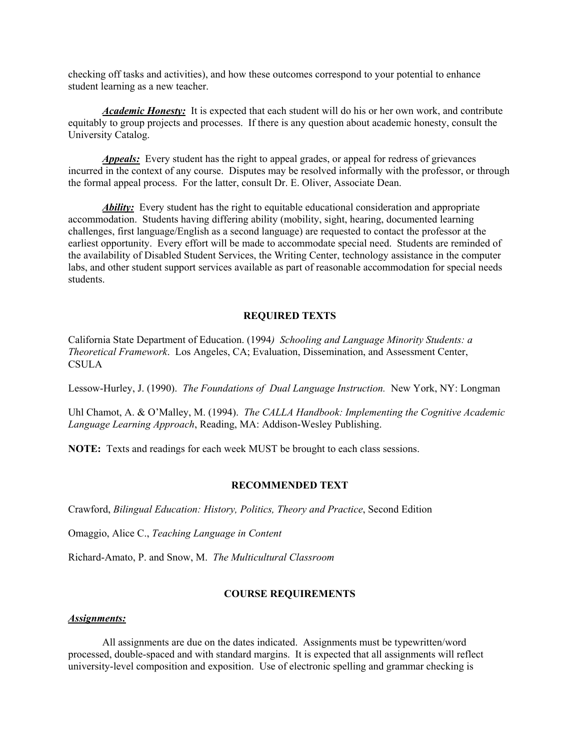checking off tasks and activities), and how these outcomes correspond to your potential to enhance student learning as a new teacher.

*Academic Honesty:* It is expected that each student will do his or her own work, and contribute equitably to group projects and processes. If there is any question about academic honesty, consult the University Catalog.

*Appeals:* Every student has the right to appeal grades, or appeal for redress of grievances incurred in the context of any course. Disputes may be resolved informally with the professor, or through the formal appeal process. For the latter, consult Dr. E. Oliver, Associate Dean.

*Ability:* Every student has the right to equitable educational consideration and appropriate accommodation. Students having differing ability (mobility, sight, hearing, documented learning challenges, first language/English as a second language) are requested to contact the professor at the earliest opportunity. Every effort will be made to accommodate special need. Students are reminded of the availability of Disabled Student Services, the Writing Center, technology assistance in the computer labs, and other student support services available as part of reasonable accommodation for special needs students.

#### **REQUIRED TEXTS**

California State Department of Education. (1994*) Schooling and Language Minority Students: a Theoretical Framework*. Los Angeles, CA; Evaluation, Dissemination, and Assessment Center, **CSULA** 

Lessow-Hurley, J. (1990). *The Foundations of Dual Language Instruction.* New York, NY: Longman

Uhl Chamot, A. & O'Malley, M. (1994). *The CALLA Handbook: Implementing the Cognitive Academic Language Learning Approach*, Reading, MA: Addison-Wesley Publishing.

**NOTE:** Texts and readings for each week MUST be brought to each class sessions.

#### **RECOMMENDED TEXT**

Crawford, *Bilingual Education: History, Politics, Theory and Practice*, Second Edition

Omaggio, Alice C., *Teaching Language in Content* 

Richard-Amato, P. and Snow, M. *The Multicultural Classroom* 

#### **COURSE REQUIREMENTS**

#### *Assignments:*

 All assignments are due on the dates indicated. Assignments must be typewritten/word processed, double-spaced and with standard margins. It is expected that all assignments will reflect university-level composition and exposition. Use of electronic spelling and grammar checking is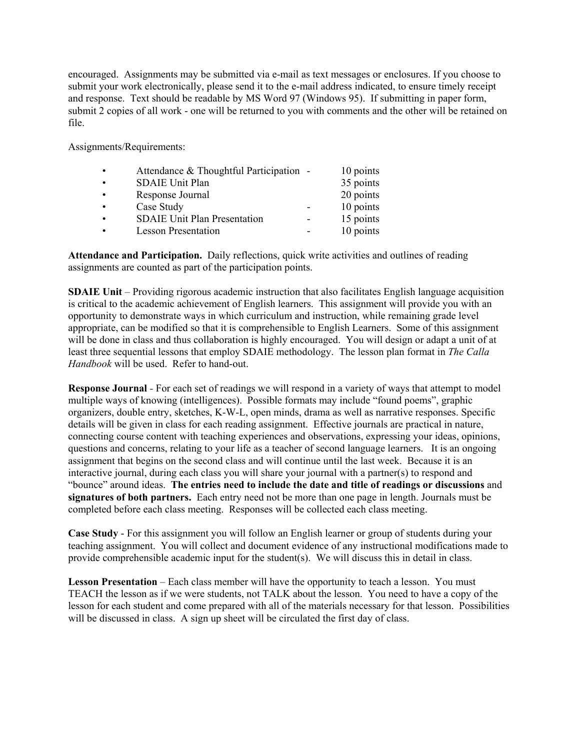encouraged. Assignments may be submitted via e-mail as text messages or enclosures. If you choose to submit your work electronically, please send it to the e-mail address indicated, to ensure timely receipt and response. Text should be readable by MS Word 97 (Windows 95). If submitting in paper form, submit 2 copies of all work - one will be returned to you with comments and the other will be retained on file.

Assignments/Requirements:

| $\bullet$ | Attendance & Thoughtful Participation - | 10 points |
|-----------|-----------------------------------------|-----------|
| $\bullet$ | <b>SDAIE Unit Plan</b>                  | 35 points |
| $\bullet$ | Response Journal                        | 20 points |
| $\bullet$ | Case Study                              | 10 points |
| $\bullet$ | <b>SDAIE Unit Plan Presentation</b>     | 15 points |
|           | <b>Lesson Presentation</b>              | 10 points |

**Attendance and Participation.** Daily reflections, quick write activities and outlines of reading assignments are counted as part of the participation points.

**SDAIE Unit** – Providing rigorous academic instruction that also facilitates English language acquisition is critical to the academic achievement of English learners. This assignment will provide you with an opportunity to demonstrate ways in which curriculum and instruction, while remaining grade level appropriate, can be modified so that it is comprehensible to English Learners. Some of this assignment will be done in class and thus collaboration is highly encouraged. You will design or adapt a unit of at least three sequential lessons that employ SDAIE methodology. The lesson plan format in *The Calla Handbook* will be used. Refer to hand-out.

**Response Journal** *-* For each set of readings we will respond in a variety of ways that attempt to model multiple ways of knowing (intelligences). Possible formats may include "found poems", graphic organizers, double entry, sketches, K-W-L, open minds, drama as well as narrative responses. Specific details will be given in class for each reading assignment. Effective journals are practical in nature, connecting course content with teaching experiences and observations, expressing your ideas, opinions, questions and concerns, relating to your life as a teacher of second language learners. It is an ongoing assignment that begins on the second class and will continue until the last week. Because it is an interactive journal, during each class you will share your journal with a partner(s) to respond and "bounce" around ideas. **The entries need to include the date and title of readings or discussions** and **signatures of both partners.** Each entry need not be more than one page in length. Journals must be completed before each class meeting. Responses will be collected each class meeting.

**Case Study** - For this assignment you will follow an English learner or group of students during your teaching assignment. You will collect and document evidence of any instructional modifications made to provide comprehensible academic input for the student(s). We will discuss this in detail in class.

**Lesson Presentation** – Each class member will have the opportunity to teach a lesson. You must TEACH the lesson as if we were students, not TALK about the lesson. You need to have a copy of the lesson for each student and come prepared with all of the materials necessary for that lesson. Possibilities will be discussed in class. A sign up sheet will be circulated the first day of class.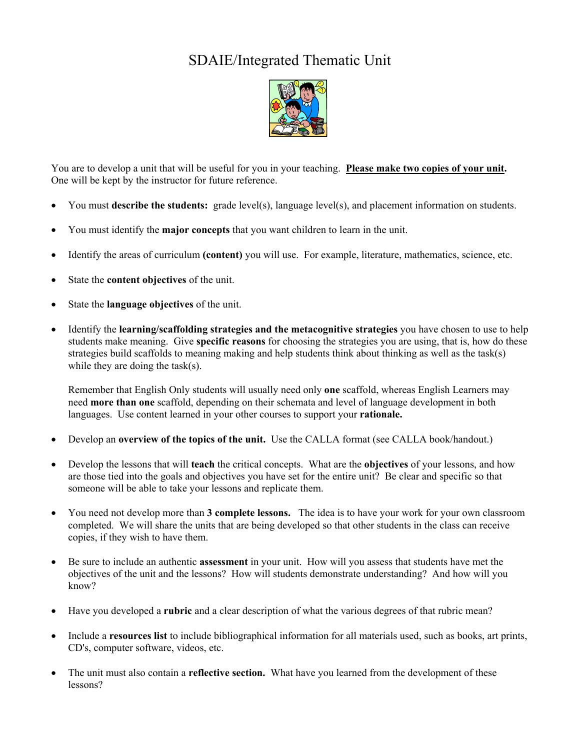## SDAIE/Integrated Thematic Unit



You are to develop a unit that will be useful for you in your teaching. **Please make two copies of your unit.** One will be kept by the instructor for future reference.

- You must **describe the students:** grade level(s), language level(s), and placement information on students.
- You must identify the **major concepts** that you want children to learn in the unit.
- Identify the areas of curriculum **(content)** you will use. For example, literature, mathematics, science, etc.
- State the **content objectives** of the unit.
- State the **language objectives** of the unit.
- Identify the **learning/scaffolding strategies and the metacognitive strategies** you have chosen to use to help students make meaning. Give **specific reasons** for choosing the strategies you are using, that is, how do these strategies build scaffolds to meaning making and help students think about thinking as well as the task(s) while they are doing the task(s).

Remember that English Only students will usually need only **one** scaffold, whereas English Learners may need **more than one** scaffold, depending on their schemata and level of language development in both languages. Use content learned in your other courses to support your **rationale.**

- Develop an **overview of the topics of the unit.** Use the CALLA format (see CALLA book/handout.)
- Develop the lessons that will **teach** the critical concepts. What are the **objectives** of your lessons, and how are those tied into the goals and objectives you have set for the entire unit? Be clear and specific so that someone will be able to take your lessons and replicate them.
- You need not develop more than **3 complete lessons.** The idea is to have your work for your own classroom completed. We will share the units that are being developed so that other students in the class can receive copies, if they wish to have them.
- Be sure to include an authentic **assessment** in your unit. How will you assess that students have met the objectives of the unit and the lessons? How will students demonstrate understanding? And how will you know?
- Have you developed a **rubric** and a clear description of what the various degrees of that rubric mean?
- Include a **resources list** to include bibliographical information for all materials used, such as books, art prints, CD's, computer software, videos, etc.
- The unit must also contain a **reflective section.** What have you learned from the development of these lessons?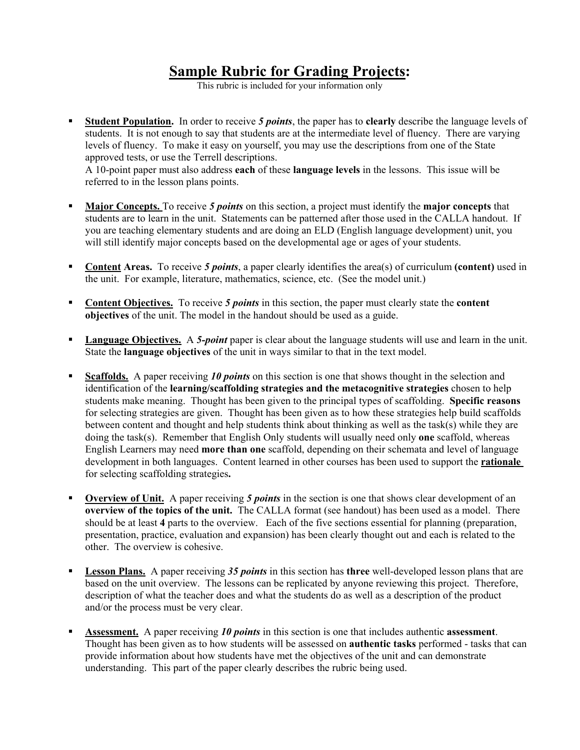# **Sample Rubric for Grading Projects:**

This rubric is included for your information only

 **Student Population.** In order to receive *5 points*, the paper has to **clearly** describe the language levels of students. It is not enough to say that students are at the intermediate level of fluency. There are varying levels of fluency. To make it easy on yourself, you may use the descriptions from one of the State approved tests, or use the Terrell descriptions.

A 10-point paper must also address **each** of these **language levels** in the lessons. This issue will be referred to in the lesson plans points.

- **Major Concepts.** To receive *5 points* on this section, a project must identify the **major concepts** that students are to learn in the unit. Statements can be patterned after those used in the CALLA handout. If you are teaching elementary students and are doing an ELD (English language development) unit, you will still identify major concepts based on the developmental age or ages of your students.
- **Content Areas.** To receive *5 points*, a paper clearly identifies the area(s) of curriculum **(content)** used in the unit. For example, literature, mathematics, science, etc. (See the model unit.)
- **Content Objectives.** To receive *5 points* in this section, the paper must clearly state the **content objectives** of the unit. The model in the handout should be used as a guide.
- **Language Objectives.** A 5-*point* paper is clear about the language students will use and learn in the unit. State the **language objectives** of the unit in ways similar to that in the text model.
- **Scaffolds.** A paper receiving *10 points* on this section is one that shows thought in the selection and identification of the **learning/scaffolding strategies and the metacognitive strategies** chosen to help students make meaning. Thought has been given to the principal types of scaffolding. **Specific reasons** for selecting strategies are given. Thought has been given as to how these strategies help build scaffolds between content and thought and help students think about thinking as well as the task(s) while they are doing the task(s). Remember that English Only students will usually need only **one** scaffold, whereas English Learners may need **more than one** scaffold, depending on their schemata and level of language development in both languages. Content learned in other courses has been used to support the **rationale**  for selecting scaffolding strategies**.**
- **Overview of Unit.** A paper receiving *5 points* in the section is one that shows clear development of an **overview of the topics of the unit.** The CALLA format (see handout) has been used as a model. There should be at least **4** parts to the overview. Each of the five sections essential for planning (preparation, presentation, practice, evaluation and expansion) has been clearly thought out and each is related to the other. The overview is cohesive.
- **Lesson Plans.** A paper receiving *35 points* in this section has **three** well-developed lesson plans that are based on the unit overview. The lessons can be replicated by anyone reviewing this project. Therefore, description of what the teacher does and what the students do as well as a description of the product and/or the process must be very clear.
- **Assessment.** A paper receiving *10 points* in this section is one that includes authentic **assessment**. Thought has been given as to how students will be assessed on **authentic tasks** performed - tasks that can provide information about how students have met the objectives of the unit and can demonstrate understanding. This part of the paper clearly describes the rubric being used.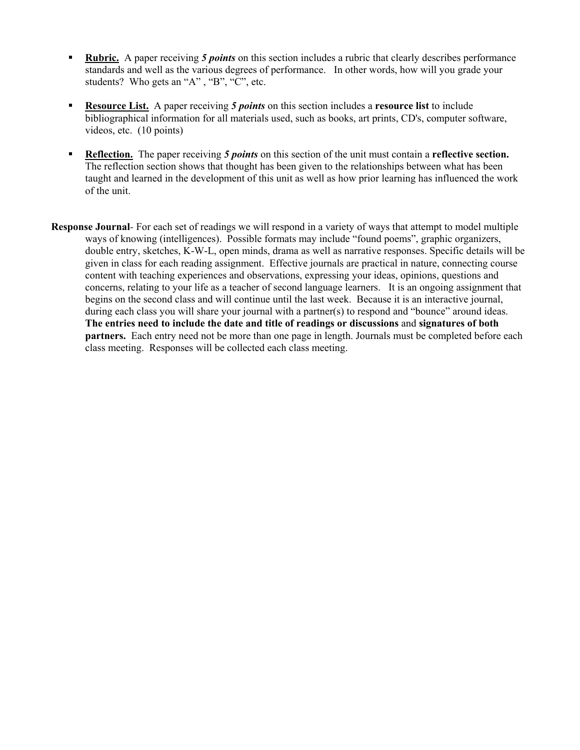- **Rubric.** A paper receiving *5 points* on this section includes a rubric that clearly describes performance standards and well as the various degrees of performance. In other words, how will you grade your students? Who gets an "A", "B", "C", etc.
- **Resource List.** A paper receiving *5 points* on this section includes a **resource list** to include bibliographical information for all materials used, such as books, art prints, CD's, computer software, videos, etc. (10 points)
- **Reflection.** The paper receiving *5 points* on this section of the unit must contain a **reflective section.**  The reflection section shows that thought has been given to the relationships between what has been taught and learned in the development of this unit as well as how prior learning has influenced the work of the unit.
- **Response Journal***-* For each set of readings we will respond in a variety of ways that attempt to model multiple ways of knowing (intelligences). Possible formats may include "found poems", graphic organizers, double entry, sketches, K-W-L, open minds, drama as well as narrative responses. Specific details will be given in class for each reading assignment. Effective journals are practical in nature, connecting course content with teaching experiences and observations, expressing your ideas, opinions, questions and concerns, relating to your life as a teacher of second language learners. It is an ongoing assignment that begins on the second class and will continue until the last week. Because it is an interactive journal, during each class you will share your journal with a partner(s) to respond and "bounce" around ideas. **The entries need to include the date and title of readings or discussions** and **signatures of both partners.** Each entry need not be more than one page in length. Journals must be completed before each class meeting. Responses will be collected each class meeting.